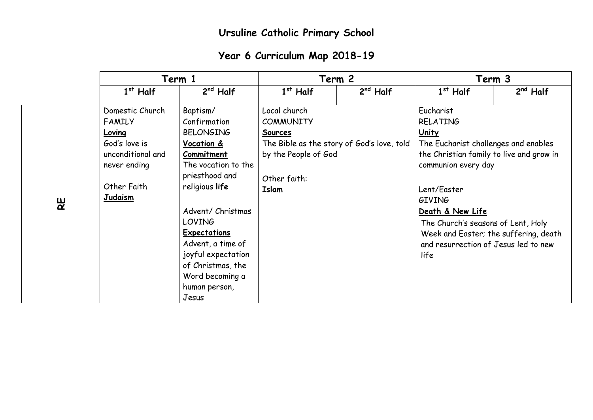## **Year 6 Curriculum Map 2018-19**

|              | Term 1                                                                                                                                   |                                                                                                                                                                                                                                                                                                               |                                                                                                            | Term 2                                     | Term 3                                                                                                                                                                                                                                                                                                                                     |            |
|--------------|------------------------------------------------------------------------------------------------------------------------------------------|---------------------------------------------------------------------------------------------------------------------------------------------------------------------------------------------------------------------------------------------------------------------------------------------------------------|------------------------------------------------------------------------------------------------------------|--------------------------------------------|--------------------------------------------------------------------------------------------------------------------------------------------------------------------------------------------------------------------------------------------------------------------------------------------------------------------------------------------|------------|
|              | $1st$ Half                                                                                                                               | $2nd$ Half                                                                                                                                                                                                                                                                                                    | $1st$ Half                                                                                                 | $2nd$ Half                                 | $1st$ Half                                                                                                                                                                                                                                                                                                                                 | $2nd$ Half |
| $\mathbf{g}$ | Domestic Church<br><b>FAMILY</b><br><u>Loving</u><br>God's love is<br>unconditional and<br>never ending<br>Other Faith<br><b>Judaism</b> | Baptism/<br>Confirmation<br><b>BELONGING</b><br>Vocation &<br>Commitment<br>The vocation to the<br>priesthood and<br>religious life<br>Advent/ Christmas<br><b>LOVING</b><br><b>Expectations</b><br>Advent, a time of<br>joyful expectation<br>of Christmas, the<br>Word becoming a<br>human person,<br>Jesus | Local church<br><b>COMMUNITY</b><br><b>Sources</b><br>by the People of God<br>Other faith:<br><b>Islam</b> | The Bible as the story of God's love, told | Eucharist<br><b>RELATING</b><br><b>Unity</b><br>The Eucharist challenges and enables<br>the Christian family to live and grow in<br>communion every day<br>Lent/Easter<br><b>GIVING</b><br>Death & New Life<br>The Church's seasons of Lent, Holy<br>Week and Easter; the suffering, death<br>and resurrection of Jesus led to new<br>life |            |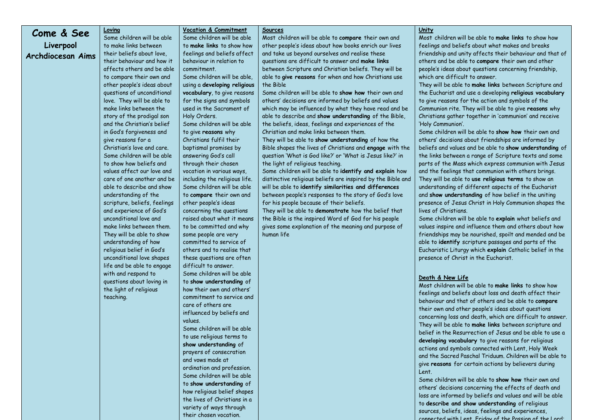### **Come & See Liverpool Archdiocesan Aims**

**Loving** Some children will be able to make links between their beliefs about love, their behaviour and how it affects others and be able to compare their own and other people's ideas about questions of unconditional love. They will be able to make links between the story of the prodigal son and the Christian's belief in God's forgiveness and give reasons for a Christian's love and care. Some children will be able to show how beliefs and values affect our love and care of one another and be able to describe and show understanding of the scripture, beliefs, feelings and experience of God's unconditional love and make links between them. They will be able to show understanding of how religious belief in God's unconditional love shapes life and be able to engage with and respond to questions about loving in the light of religious teaching.

#### **Vocation & Commitment Sources**

Some children will be able to **make links** to show how feelings and beliefs affect behaviour in relation to

commitment. Some children will be able, using a **developing religious vocabulary**, to give reasons for the signs and symbols used in the Sacrament of Holy Orders. Some children will be able to give **reasons** why Christians fulfil their baptismal promises by answering God's call through their chosen vocation in various ways, including the religious life. Some children will be able to **compare** their own and other people's ideas concerning the questions raised about what it means to be committed and why some people are very committed to service of others and to realise that these questions are often difficult to answer. Some children will be able to **show understanding** of how their own and others' commitment to service and care of others are influenced by beliefs and values. Some children will be able

to use religious terms to **show understanding** of prayers of consecration and vows made at ordination and profession. Some children will be able to **show understanding** of how religious belief shapes the lives of Christians in a variety of ways through their chosen vocation.

Most children will be able to **compare** their own and other people's ideas about how books enrich our lives and take us beyond ourselves and realise these questions are difficult to answer and **make links**  between Scripture and Christian beliefs. They will be able to **give reasons** for when and how Christians use the Bible

Some children will be able to **show how** their own and others' decisions are informed by beliefs and values which may be influenced by what they have read and be able to describe and **show understanding** of the Bible, the beliefs, ideas, feelings and experiences of the Christian and make links between them.

They will be able to **show understanding** of how the Bible shapes the lives of Christians and **engage** with the question 'What is God like?' or 'What is Jesus like?' in the light of religious teaching.

Some children will be able to **identify and explain** how distinctive religious beliefs are inspired by the Bible and will be able to **identify similarities and differences**  between people's responses to the story of God's love for his people because of their beliefs.

They will be able to **demonstrate** how the belief that the Bible is the inspired Word of God for his people gives some explanation of the meaning and purpose of human life

### **Unity**

Most children will be able to **make links** to show how feelings and beliefs about what makes and breaks friendship and unity affects their behaviour and that of others and be able to **compare** their own and other people's ideas about questions concerning friendship, which are difficult to answer.

They will be able to **make links** between Scripture and the Eucharist and use a developing **religious vocabulary**  to give reasons for the action and symbols of the Communion rite. They will be able to give **reasons** why Christians gather together in 'communion' and receive 'Holy Communion'.

Some children will be able to **show how** their own and others' decisions about friendships are informed by beliefs and values and be able to **show understanding** of the links between a range of Scripture texts and some parts of the Mass which express communion with Jesus and the feelings that communion with others brings. They will be able to **use religious terms** to show an understanding of different aspects of the Eucharist and **show understanding** of how belief in the uniting presence of Jesus Christ in Holy Communion shapes the lives of Christians.

Some children will be able to **explain** what beliefs and values inspire and influence them and others about how friendships may be nourished, spoilt and mended and be able to **identify** scripture passages and parts of the Eucharistic Liturgy which **explain** Catholic belief in the presence of Christ in the Eucharist.

#### **Death & New Life**

Most children will be able to **make links** to show how feelings and beliefs about loss and death affect their behaviour and that of others and be able to **compare**  their own and other people's ideas about questions concerning loss and death, which are difficult to answer. They will be able to **make links** between scripture and belief in the Resurrection of Jesus and be able to use a **developing vocabulary** to give reasons for religious actions and symbols connected with Lent, Holy Week and the Sacred Paschal Triduum. Children will be able to give **reasons** for certain actions by believers during Lent.

Some children will be able to **show how** their own and others' decisions concerning the effects of death and loss are informed by beliefs and values and will be able to **describe and show understanding** of religious sources, beliefs, ideas, feelings and experiences, connected with Lent, Friday of the Passion of the Lord;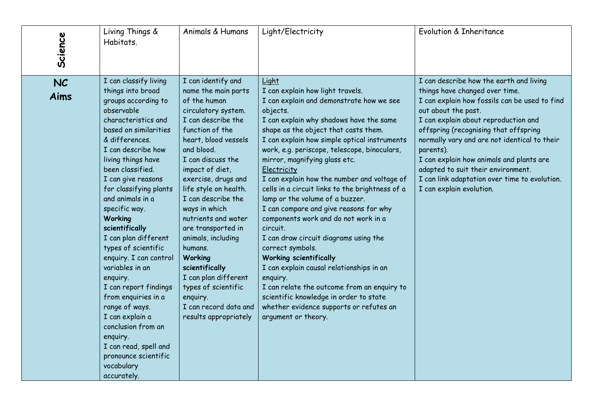| Science           | Living Things &<br>Habitats.                                                                                                                                                                                                                                                                                                                                                                                                                                                                                                                                                                                                                            | Animals & Humans                                                                                                                                                                                                                                                                                                                                                                                                                                                                                                       | Light/Electricity                                                                                                                                                                                                                                                                                                                                                                                                                                                                                                                                                                                                                                                                                                                                                                                                                                                                        | Evolution & Inheritance                                                                                                                                                                                                                                                                                                                                                                                                                                        |
|-------------------|---------------------------------------------------------------------------------------------------------------------------------------------------------------------------------------------------------------------------------------------------------------------------------------------------------------------------------------------------------------------------------------------------------------------------------------------------------------------------------------------------------------------------------------------------------------------------------------------------------------------------------------------------------|------------------------------------------------------------------------------------------------------------------------------------------------------------------------------------------------------------------------------------------------------------------------------------------------------------------------------------------------------------------------------------------------------------------------------------------------------------------------------------------------------------------------|------------------------------------------------------------------------------------------------------------------------------------------------------------------------------------------------------------------------------------------------------------------------------------------------------------------------------------------------------------------------------------------------------------------------------------------------------------------------------------------------------------------------------------------------------------------------------------------------------------------------------------------------------------------------------------------------------------------------------------------------------------------------------------------------------------------------------------------------------------------------------------------|----------------------------------------------------------------------------------------------------------------------------------------------------------------------------------------------------------------------------------------------------------------------------------------------------------------------------------------------------------------------------------------------------------------------------------------------------------------|
| <b>NC</b><br>Aims | I can classify living<br>things into broad<br>groups according to<br>observable<br>characteristics and<br>based on similarities<br>& differences.<br>I can describe how<br>living things have<br>been classified.<br>I can give reasons<br>for classifying plants<br>and animals in a<br>specific way.<br><b>Working</b><br>scientifically<br>I can plan different<br>types of scientific<br>enquiry. I can control<br>variables in an<br>enquiry.<br>I can report findings<br>from enquiries in a<br>range of ways.<br>I can explain a<br>conclusion from an<br>enquiry.<br>I can read, spell and<br>pronounce scientific<br>vocabulary<br>accurately. | I can identify and<br>name the main parts<br>of the human<br>circulatory system.<br>I can describe the<br>function of the<br>heart, blood vessels<br>and blood.<br>I can discuss the<br>impact of diet,<br>exercise, drugs and<br>life style on health.<br>I can describe the<br>ways in which<br>nutrients and water<br>are transported in<br>animals, including<br>humans.<br>Working<br>scientifically<br>I can plan different<br>types of scientific<br>enquiry.<br>I can record data and<br>results appropriately | Light<br>I can explain how light travels.<br>I can explain and demonstrate how we see<br>objects.<br>I can explain why shadows have the same<br>shape as the object that casts them.<br>I can explain how simple optical instruments<br>work, e.g. periscope, telescope, binoculars,<br>mirror, magnifying glass etc.<br>Electricity<br>I can explain how the number and voltage of<br>cells in a circuit links to the brightness of a<br>lamp or the volume of a buzzer.<br>I can compare and give reasons for why<br>components work and do not work in a<br>circuit.<br>I can draw circuit diagrams using the<br>correct symbols.<br><b>Working scientifically</b><br>I can explain causal relationships in an<br>enquiry.<br>I can relate the outcome from an enquiry to<br>scientific knowledge in order to state<br>whether evidence supports or refutes an<br>argument or theory. | I can describe how the earth and living<br>things have changed over time.<br>I can explain how fossils can be used to find<br>out about the past.<br>I can explain about reproduction and<br>offspring (recognising that offspring<br>normally vary and are not identical to their<br>parents).<br>I can explain how animals and plants are<br>adapted to suit their environment.<br>I can link adaptation over time to evolution.<br>I can explain evolution. |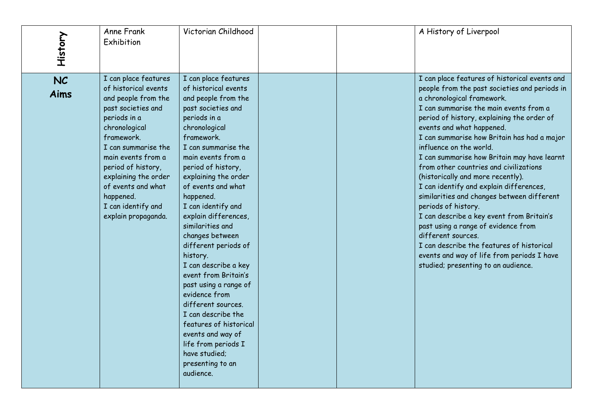| History           | Anne Frank<br>Exhibition                                                                                                                                                                                                                                                                                            | Victorian Childhood                                                                                                                                                                                                                                                                                                                                                                                                                                                                                                                                                                                                                                           |  | A History of Liverpool                                                                                                                                                                                                                                                                                                                                                                                                                                                                                                                                                                                                                                                                                                                                                                                                |
|-------------------|---------------------------------------------------------------------------------------------------------------------------------------------------------------------------------------------------------------------------------------------------------------------------------------------------------------------|---------------------------------------------------------------------------------------------------------------------------------------------------------------------------------------------------------------------------------------------------------------------------------------------------------------------------------------------------------------------------------------------------------------------------------------------------------------------------------------------------------------------------------------------------------------------------------------------------------------------------------------------------------------|--|-----------------------------------------------------------------------------------------------------------------------------------------------------------------------------------------------------------------------------------------------------------------------------------------------------------------------------------------------------------------------------------------------------------------------------------------------------------------------------------------------------------------------------------------------------------------------------------------------------------------------------------------------------------------------------------------------------------------------------------------------------------------------------------------------------------------------|
| <b>NC</b><br>Aims | I can place features<br>of historical events<br>and people from the<br>past societies and<br>periods in a<br>chronological<br>framework.<br>I can summarise the<br>main events from a<br>period of history,<br>explaining the order<br>of events and what<br>happened.<br>I can identify and<br>explain propaganda. | I can place features<br>of historical events<br>and people from the<br>past societies and<br>periods in a<br>chronological<br>framework.<br>I can summarise the<br>main events from a<br>period of history,<br>explaining the order<br>of events and what<br>happened.<br>I can identify and<br>explain differences,<br>similarities and<br>changes between<br>different periods of<br>history.<br>I can describe a key<br>event from Britain's<br>past using a range of<br>evidence from<br>different sources.<br>I can describe the<br>features of historical<br>events and way of<br>life from periods I<br>have studied;<br>presenting to an<br>audience. |  | I can place features of historical events and<br>people from the past societies and periods in<br>a chronological framework.<br>I can summarise the main events from a<br>period of history, explaining the order of<br>events and what happened.<br>I can summarise how Britain has had a major<br>influence on the world.<br>I can summarise how Britain may have learnt<br>from other countries and civilizations<br>(historically and more recently).<br>I can identify and explain differences,<br>similarities and changes between different<br>periods of history.<br>I can describe a key event from Britain's<br>past using a range of evidence from<br>different sources.<br>I can describe the features of historical<br>events and way of life from periods I have<br>studied; presenting to an audience. |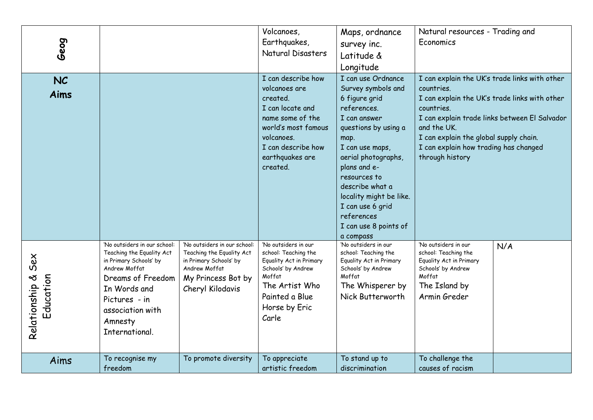| Geog                               |                                                                                                                                                                                                             |                                                                                                                                                | Volcanoes,<br>Earthquakes,<br>Natural Disasters                                                                                                                                   | Maps, ordnance<br>survey inc.<br>Latitude &<br>Longitude                                                                                                                                                                                                                                                                 | Natural resources - Trading and<br>Economics                                                                                                  |                                                                                                                                                 |
|------------------------------------|-------------------------------------------------------------------------------------------------------------------------------------------------------------------------------------------------------------|------------------------------------------------------------------------------------------------------------------------------------------------|-----------------------------------------------------------------------------------------------------------------------------------------------------------------------------------|--------------------------------------------------------------------------------------------------------------------------------------------------------------------------------------------------------------------------------------------------------------------------------------------------------------------------|-----------------------------------------------------------------------------------------------------------------------------------------------|-------------------------------------------------------------------------------------------------------------------------------------------------|
| <b>NC</b><br>Aims                  |                                                                                                                                                                                                             |                                                                                                                                                | I can describe how<br>volcanoes are<br>created.<br>I can locate and<br>name some of the<br>world's most famous<br>volcanoes.<br>I can describe how<br>earthquakes are<br>created. | I can use Ordnance<br>Survey symbols and<br>6 figure grid<br>references.<br>I can answer<br>questions by using a<br>map.<br>I can use maps,<br>aerial photographs,<br>plans and e-<br>resources to<br>describe what a<br>locality might be like.<br>I can use 6 grid<br>references<br>I can use 8 points of<br>a compass | countries.<br>countries.<br>and the UK.<br>I can explain the global supply chain.<br>I can explain how trading has changed<br>through history | I can explain the UK's trade links with other<br>I can explain the UK's trade links with other<br>I can explain trade links between El Salvador |
| Sex<br>Relationship &<br>Education | 'No outsiders in our school:<br>Teaching the Equality Act<br>in Primary Schools' by<br>Andrew Moffat<br>Dreams of Freedom<br>In Words and<br>Pictures - in<br>association with<br>Amnesty<br>International. | 'No outsiders in our school:<br>Teaching the Equality Act<br>in Primary Schools' by<br>Andrew Moffat<br>My Princess Bot by<br>Cheryl Kilodavis | 'No outsiders in our<br>school: Teaching the<br>Equality Act in Primary<br>Schools' by Andrew<br>Moffat<br>The Artist Who<br>Painted a Blue<br>Horse by Eric<br>Carle             | 'No outsiders in our<br>school: Teaching the<br>Equality Act in Primary<br>Schools' by Andrew<br>Moffat<br>The Whisperer by<br>Nick Butterworth                                                                                                                                                                          | 'No outsiders in our<br>school: Teaching the<br>Equality Act in Primary<br>Schools' by Andrew<br>Moffat<br>The Island by<br>Armin Greder      | N/A                                                                                                                                             |
| Aims                               | To recognise my<br>freedom                                                                                                                                                                                  | To promote diversity                                                                                                                           | To appreciate<br>artistic freedom                                                                                                                                                 | To stand up to<br>discrimination                                                                                                                                                                                                                                                                                         | To challenge the<br>causes of racism                                                                                                          |                                                                                                                                                 |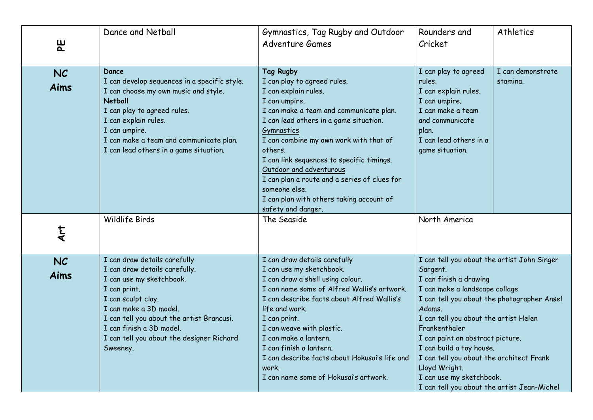| 巴          | Dance and Netball                                                                                                                                                                                                                                                                           | Rounders and<br>Cricket                                                                                                                                                                                                                                                                                                                                                                                                                                     | Athletics                                                                                                                                                                                                                                                                                                                                                                                                                                      |                               |
|------------|---------------------------------------------------------------------------------------------------------------------------------------------------------------------------------------------------------------------------------------------------------------------------------------------|-------------------------------------------------------------------------------------------------------------------------------------------------------------------------------------------------------------------------------------------------------------------------------------------------------------------------------------------------------------------------------------------------------------------------------------------------------------|------------------------------------------------------------------------------------------------------------------------------------------------------------------------------------------------------------------------------------------------------------------------------------------------------------------------------------------------------------------------------------------------------------------------------------------------|-------------------------------|
| NC<br>Aims | Dance<br>I can develop sequences in a specific style.<br>I can choose my own music and style.<br><b>Netball</b><br>I can play to agreed rules.<br>I can explain rules.<br>I can umpire.<br>I can make a team and communicate plan.<br>I can lead others in a game situation.                | Tag Rugby<br>I can play to agreed rules.<br>I can explain rules.<br>I can umpire.<br>I can make a team and communicate plan.<br>I can lead others in a game situation.<br><b>Gymnastics</b><br>I can combine my own work with that of<br>others.<br>I can link sequences to specific timings.<br>Outdoor and adventurous<br>I can plan a route and a series of clues for<br>someone else.<br>I can plan with others taking account of<br>safety and danger. | I can play to agreed<br>rules.<br>I can explain rules.<br>I can umpire.<br>I can make a team<br>and communicate<br>plan.<br>I can lead others in a<br>game situation.                                                                                                                                                                                                                                                                          | I can demonstrate<br>stamina. |
| <b>E</b>   | Wildlife Birds                                                                                                                                                                                                                                                                              | The Seaside                                                                                                                                                                                                                                                                                                                                                                                                                                                 | North America                                                                                                                                                                                                                                                                                                                                                                                                                                  |                               |
| NC<br>Aims | I can draw details carefully<br>I can draw details carefully.<br>I can use my sketchbook.<br>I can print.<br>I can sculpt clay.<br>I can make a 3D model.<br>I can tell you about the artist Brancusi.<br>I can finish a 3D model.<br>I can tell you about the designer Richard<br>Sweeney. | I can draw details carefully<br>I can use my sketchbook.<br>I can draw a shell using colour.<br>I can name some of Alfred Wallis's artwork.<br>I can describe facts about Alfred Wallis's<br>life and work.<br>I can print.<br>I can weave with plastic.<br>I can make a lantern<br>I can finish a lantern.<br>I can describe facts about Hokusai's life and<br>work.<br>I can name some of Hokusai's artwork.                                              | I can tell you about the artist John Singer<br>Sargent.<br>I can finish a drawing<br>I can make a landscape collage<br>I can tell you about the photographer Ansel<br>Adams.<br>I can tell you about the artist Helen<br>Frankenthaler<br>I can paint an abstract picture.<br>I can build a toy house.<br>I can tell you about the architect Frank<br>Lloyd Wright.<br>I can use my sketchbook.<br>I can tell you about the artist Jean-Michel |                               |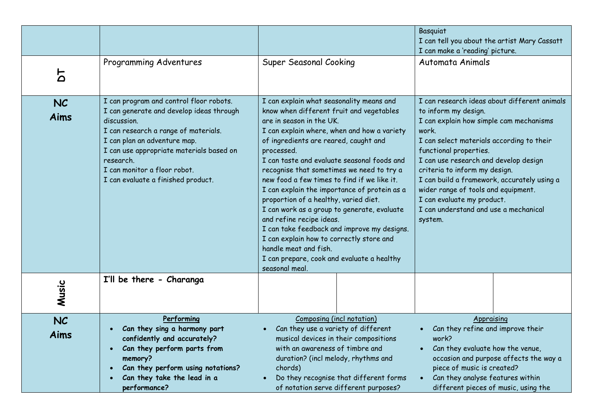| <u>ኤ</u>   | Programming Adventures                                                                                                                                                                                                                                                                                    | Super Seasonal Cooking                                                                                                                                                                                                                                                                                                                                                                                                                                                                                                                                                                                                                                                                                                    | Basquiat<br>I can tell you about the artist Mary Cassatt<br>I can make a 'reading' picture.<br>Automata Animals                                                                                                                                                                                                                                                                                                                                   |  |
|------------|-----------------------------------------------------------------------------------------------------------------------------------------------------------------------------------------------------------------------------------------------------------------------------------------------------------|---------------------------------------------------------------------------------------------------------------------------------------------------------------------------------------------------------------------------------------------------------------------------------------------------------------------------------------------------------------------------------------------------------------------------------------------------------------------------------------------------------------------------------------------------------------------------------------------------------------------------------------------------------------------------------------------------------------------------|---------------------------------------------------------------------------------------------------------------------------------------------------------------------------------------------------------------------------------------------------------------------------------------------------------------------------------------------------------------------------------------------------------------------------------------------------|--|
| NC<br>Aims | I can program and control floor robots.<br>I can generate and develop ideas through<br>discussion.<br>I can research a range of materials.<br>I can plan an adventure map.<br>I can use appropriate materials based on<br>research.<br>I can monitor a floor robot.<br>I can evaluate a finished product. | I can explain what seasonality means and<br>know when different fruit and vegetables<br>are in season in the UK.<br>I can explain where, when and how a variety<br>of ingredients are reared, caught and<br>processed.<br>I can taste and evaluate seasonal foods and<br>recognise that sometimes we need to try a<br>new food a few times to find if we like it.<br>I can explain the importance of protein as a<br>proportion of a healthy, varied diet.<br>I can work as a group to generate, evaluate<br>and refine recipe ideas.<br>I can take feedback and improve my designs.<br>I can explain how to correctly store and<br>handle meat and fish.<br>I can prepare, cook and evaluate a healthy<br>seasonal meal. | I can research ideas about different animals<br>to inform my design.<br>I can explain how simple cam mechanisms<br>work.<br>I can select materials according to their<br>functional properties.<br>I can use research and develop design<br>criteria to inform my design.<br>I can build a framework, accurately using a<br>wider range of tools and equipment.<br>I can evaluate my product.<br>I can understand and use a mechanical<br>system. |  |
| Music      | I'll be there - Charanga                                                                                                                                                                                                                                                                                  |                                                                                                                                                                                                                                                                                                                                                                                                                                                                                                                                                                                                                                                                                                                           |                                                                                                                                                                                                                                                                                                                                                                                                                                                   |  |
| NC<br>Aims | Performing<br>Can they sing a harmony part<br>confidently and accurately?<br>Can they perform parts from<br>memory?<br>Can they perform using notations?<br>Can they take the lead in a<br>performance?                                                                                                   | <b>Composing (incl notation)</b><br>Can they use a variety of different<br>musical devices in their compositions<br>with an awareness of timbre and<br>duration? (incl melody, rhythms and<br>chords)<br>Do they recognise that different forms<br>of notation serve different purposes?                                                                                                                                                                                                                                                                                                                                                                                                                                  | Appraising<br>Can they refine and improve their<br>work?<br>Can they evaluate how the venue,<br>occasion and purpose affects the way a<br>piece of music is created?<br>Can they analyse features within<br>different pieces of music, using the                                                                                                                                                                                                  |  |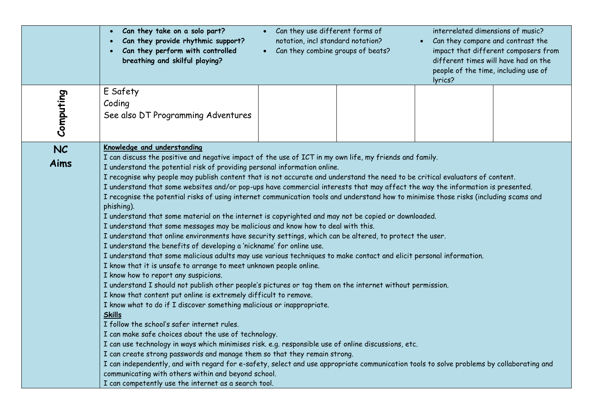|                   | Can they take on a solo part?<br>$\bullet$<br>Can they provide rhythmic support?<br>Can they perform with controlled<br>breathing and skilful playing?                                                                                                                                                                                                                                                                                                                                                                                                                                                                                                                                                                                                                                                                                                                                                                                                                                                                                                                                                                                                                                                                                                                                                                                                                                                                                                                                                                                                                                                                                                                                                                                                                                                                                                                                                                                                                                                                                                                                             | Can they use different forms of<br>$\bullet$<br>notation, incl standard notation?<br>Can they combine groups of beats?<br>$\bullet$ | interrelated dimensions of music?<br>• Can they compare and contrast the<br>impact that different composers from<br>different times will have had on the<br>people of the time, including use of<br>lyrics? |  |  |
|-------------------|----------------------------------------------------------------------------------------------------------------------------------------------------------------------------------------------------------------------------------------------------------------------------------------------------------------------------------------------------------------------------------------------------------------------------------------------------------------------------------------------------------------------------------------------------------------------------------------------------------------------------------------------------------------------------------------------------------------------------------------------------------------------------------------------------------------------------------------------------------------------------------------------------------------------------------------------------------------------------------------------------------------------------------------------------------------------------------------------------------------------------------------------------------------------------------------------------------------------------------------------------------------------------------------------------------------------------------------------------------------------------------------------------------------------------------------------------------------------------------------------------------------------------------------------------------------------------------------------------------------------------------------------------------------------------------------------------------------------------------------------------------------------------------------------------------------------------------------------------------------------------------------------------------------------------------------------------------------------------------------------------------------------------------------------------------------------------------------------------|-------------------------------------------------------------------------------------------------------------------------------------|-------------------------------------------------------------------------------------------------------------------------------------------------------------------------------------------------------------|--|--|
| Computing         | E Safety<br>Coding<br>See also DT Programming Adventures                                                                                                                                                                                                                                                                                                                                                                                                                                                                                                                                                                                                                                                                                                                                                                                                                                                                                                                                                                                                                                                                                                                                                                                                                                                                                                                                                                                                                                                                                                                                                                                                                                                                                                                                                                                                                                                                                                                                                                                                                                           |                                                                                                                                     |                                                                                                                                                                                                             |  |  |
| <b>NC</b><br>Aims | Knowledge and understanding<br>I can discuss the positive and negative impact of the use of ICT in my own life, my friends and family.<br>I understand the potential risk of providing personal information online.<br>I recognise why people may publish content that is not accurate and understand the need to be critical evaluators of content.<br>I understand that some websites and/or pop-ups have commercial interests that may affect the way the information is presented.<br>I recognise the potential risks of using internet communication tools and understand how to minimise those risks (including scams and<br>phishing).<br>I understand that some material on the internet is copyrighted and may not be copied or downloaded.<br>I understand that some messages may be malicious and know how to deal with this.<br>I understand that online environments have security settings, which can be altered, to protect the user.<br>I understand the benefits of developing a 'nickname' for online use.<br>I understand that some malicious adults may use various techniques to make contact and elicit personal information.<br>I know that it is unsafe to arrange to meet unknown people online.<br>I know how to report any suspicions.<br>I understand I should not publish other people's pictures or tag them on the internet without permission.<br>I know that content put online is extremely difficult to remove.<br>I know what to do if I discover something malicious or inappropriate.<br><b>Skills</b><br>I follow the school's safer internet rules.<br>I can make safe choices about the use of technology.<br>I can use technology in ways which minimises risk. e.g. responsible use of online discussions, etc.<br>I can create strong passwords and manage them so that they remain strong.<br>I can independently, and with regard for e-safety, select and use appropriate communication tools to solve problems by collaborating and<br>communicating with others within and beyond school.<br>I can competently use the internet as a search tool. |                                                                                                                                     |                                                                                                                                                                                                             |  |  |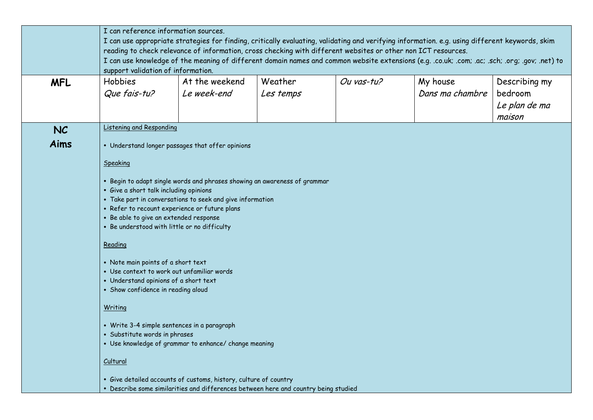| <b>MFL</b> | I can reference information sources.<br>support validation of information.<br><b>Hobbies</b>                                                                                                                                                                                                                                                                                                                                                                           | At the weekend                                                                                                                                                                                                                                      | Weather   | reading to check relevance of information, cross checking with different websites or other non ICT resources.<br>Ou vas-tu? | I can use appropriate strategies for finding, critically evaluating, validating and verifying information. e.g. using different keywords, skim<br>I can use knowledge of the meaning of different domain names and common website extensions (e.g. .co.uk; .com; .ac; .sch; .org; .gov; .net) to<br>My house | Describing my                      |
|------------|------------------------------------------------------------------------------------------------------------------------------------------------------------------------------------------------------------------------------------------------------------------------------------------------------------------------------------------------------------------------------------------------------------------------------------------------------------------------|-----------------------------------------------------------------------------------------------------------------------------------------------------------------------------------------------------------------------------------------------------|-----------|-----------------------------------------------------------------------------------------------------------------------------|--------------------------------------------------------------------------------------------------------------------------------------------------------------------------------------------------------------------------------------------------------------------------------------------------------------|------------------------------------|
|            | Que fais-tu?                                                                                                                                                                                                                                                                                                                                                                                                                                                           | Le week-end                                                                                                                                                                                                                                         | Les temps |                                                                                                                             | Dans ma chambre                                                                                                                                                                                                                                                                                              | bedroom<br>Le plan de ma<br>maison |
| <b>NC</b>  | <b>Listening and Responding</b>                                                                                                                                                                                                                                                                                                                                                                                                                                        |                                                                                                                                                                                                                                                     |           |                                                                                                                             |                                                                                                                                                                                                                                                                                                              |                                    |
| Aims       | Speaking<br>• Give a short talk including opinions<br>• Refer to recount experience or future plans<br>· Be able to give an extended response<br>• Be understood with little or no difficulty<br>Reading<br>• Note main points of a short text<br>• Use context to work out unfamiliar words<br>• Understand opinions of a short text<br>• Show confidence in reading aloud<br>Writing<br>• Write 3-4 simple sentences in a paragraph<br>· Substitute words in phrases | • Understand longer passages that offer opinions<br>• Begin to adapt single words and phrases showing an awareness of grammar<br>• Take part in conversations to seek and give information<br>• Use knowledge of grammar to enhance/ change meaning |           |                                                                                                                             |                                                                                                                                                                                                                                                                                                              |                                    |
|            | Cultural                                                                                                                                                                                                                                                                                                                                                                                                                                                               | · Give detailed accounts of customs, history, culture of country<br>• Describe some similarities and differences between here and country being studied                                                                                             |           |                                                                                                                             |                                                                                                                                                                                                                                                                                                              |                                    |